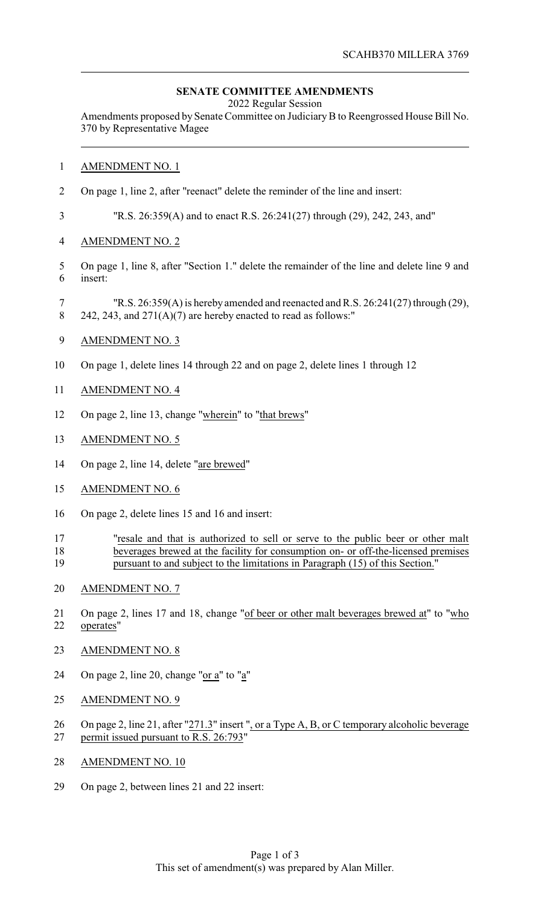## **SENATE COMMITTEE AMENDMENTS**

2022 Regular Session

Amendments proposed by Senate Committee on JudiciaryB to Reengrossed House Bill No. 370 by Representative Magee

## AMENDMENT NO. 1

On page 1, line 2, after "reenact" delete the reminder of the line and insert:

"R.S. 26:359(A) and to enact R.S. 26:241(27) through (29), 242, 243, and"

- AMENDMENT NO. 2
- On page 1, line 8, after "Section 1." delete the remainder of the line and delete line 9 and insert:
- "R.S. 26:359(A) is hereby amended and reenacted and R.S. 26:241(27) through (29), 8 242, 243, and  $271(A)(7)$  are hereby enacted to read as follows:"
- AMENDMENT NO. 3
- On page 1, delete lines 14 through 22 and on page 2, delete lines 1 through 12
- AMENDMENT NO. 4
- On page 2, line 13, change "wherein" to "that brews"
- AMENDMENT NO. 5
- On page 2, line 14, delete "are brewed"
- AMENDMENT NO. 6
- On page 2, delete lines 15 and 16 and insert:
- "resale and that is authorized to sell or serve to the public beer or other malt beverages brewed at the facility for consumption on- or off-the-licensed premises pursuant to and subject to the limitations in Paragraph (15) of this Section."
- AMENDMENT NO. 7
- 21 On page 2, lines 17 and 18, change "of beer or other malt beverages brewed at" to "who operates"
- AMENDMENT NO. 8
- On page 2, line 20, change "or a" to "a"
- AMENDMENT NO. 9
- 26 On page 2, line 21, after "271.3" insert ", or a Type A, B, or C temporary alcoholic beverage permit issued pursuant to R.S. 26:793"
- AMENDMENT NO. 10
- On page 2, between lines 21 and 22 insert: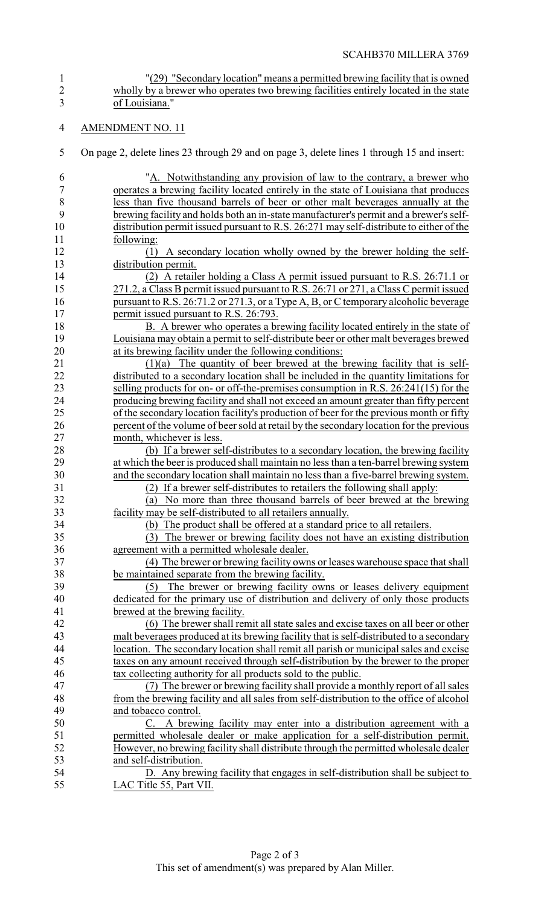- <sup>"</sup>(29) "Secondary location" means a permitted brewing facility that is owned<br>2 wholly by a brewer who operates two brewing facilities entirely located in the state wholly by a brewer who operates two brewing facilities entirely located in the state of Louisiana."
- AMENDMENT NO. 11
- On page 2, delete lines 23 through 29 and on page 3, delete lines 1 through 15 and insert:

| 6              | "A. Notwithstanding any provision of law to the contrary, a brewer who                  |
|----------------|-----------------------------------------------------------------------------------------|
| $\overline{7}$ | operates a brewing facility located entirely in the state of Louisiana that produces    |
| $\,$ $\,$      | less than five thousand barrels of beer or other malt beverages annually at the         |
| 9              | brewing facility and holds both an in-state manufacturer's permit and a brewer's self-  |
| 10             | distribution permit issued pursuant to R.S. 26:271 may self-distribute to either of the |
| 11             | following:                                                                              |
| 12             | A secondary location wholly owned by the brewer holding the self-<br>(1)                |
| 13             | distribution permit.                                                                    |
| 14             | (2) A retailer holding a Class A permit issued pursuant to R.S. 26:71.1 or              |
| 15             | 271.2, a Class B permit issued pursuant to R.S. 26:71 or 271, a Class C permit issued   |
| 16             | pursuant to R.S. 26:71.2 or 271.3, or a Type A, B, or C temporary alcoholic beverage    |
| 17             | permit issued pursuant to R.S. 26:793.                                                  |
| 18             | B. A brewer who operates a brewing facility located entirely in the state of            |
| 19             | Louisiana may obtain a permit to self-distribute beer or other malt beverages brewed    |
| 20             | at its brewing facility under the following conditions:                                 |
| 21             | $(1)(a)$ The quantity of beer brewed at the brewing facility that is self-              |
| 22             | distributed to a secondary location shall be included in the quantity limitations for   |
| 23             | selling products for on- or off-the-premises consumption in R.S. 26:241(15) for the     |
| 24             | producing brewing facility and shall not exceed an amount greater than fifty percent    |
| 25             | of the secondary location facility's production of beer for the previous month or fifty |
| 26             | percent of the volume of beer sold at retail by the secondary location for the previous |
| 27             | month, whichever is less.                                                               |
| 28             | (b) If a brewer self-distributes to a secondary location, the brewing facility          |
| 29             | at which the beer is produced shall maintain no less than a ten-barrel brewing system   |
| 30             | and the secondary location shall maintain no less than a five-barrel brewing system.    |
| 31             | (2) If a brewer self-distributes to retailers the following shall apply:                |
| 32             | No more than three thousand barrels of beer brewed at the brewing<br>(a)                |
| 33             | facility may be self-distributed to all retailers annually.                             |
| 34             | (b) The product shall be offered at a standard price to all retailers.                  |
| 35             | The brewer or brewing facility does not have an existing distribution<br>(3)            |
| 36             | agreement with a permitted wholesale dealer.                                            |
| 37             | (4) The brewer or brewing facility owns or leases warehouse space that shall            |
| 38             | be maintained separate from the brewing facility.                                       |
| 39             | The brewer or brewing facility owns or leases delivery equipment<br>(5)                 |
| 40             | dedicated for the primary use of distribution and delivery of only those products       |
| 41             | brewed at the brewing facility.                                                         |
| 42             | (6) The brewer shall remit all state sales and excise taxes on all beer or other        |
|                |                                                                                         |
| 43             | malt beverages produced at its brewing facility that is self-distributed to a secondary |
| 44             | location. The secondary location shall remit all parish or municipal sales and excise   |
| 45             | taxes on any amount received through self-distribution by the brewer to the proper      |
| 46             | tax collecting authority for all products sold to the public.                           |
| 47             | (7) The brewer or brewing facility shall provide a monthly report of all sales          |
| 48             | from the brewing facility and all sales from self-distribution to the office of alcohol |
| 49             | and tobacco control.                                                                    |
| 50             | A brewing facility may enter into a distribution agreement with a<br>C.                 |
| 51             | permitted wholesale dealer or make application for a self-distribution permit.          |
| 52             | However, no brewing facility shall distribute through the permitted wholesale dealer    |
| 53             | and self-distribution.                                                                  |
| 54             | D. Any brewing facility that engages in self-distribution shall be subject to           |
| 55             | LAC Title 55, Part VII.                                                                 |